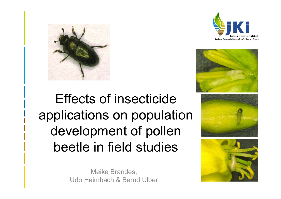





# Effects of insecticide applications on population development of pollen beetle in field studies

Meike Brandes, Udo Heimbach & Bernd Ulber

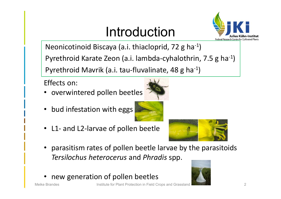# Introduction



Neonicotinoid Biscaya (a.i. thiacloprid, 72 g ha‐1)

Pyrethroid Karate Zeon (a.i. lambda‐cyhalothrin, 7.5 g ha‐1)

Pyrethroid Mavrik (a.i. tau‐fluvalinate, 48 g ha‐1)

Effects on:

- overwintered pollen beetles
- •bud infestation with eggs
- L1‐ and L2‐larvae of pollen beetle





- • parasitism rates of pollen beetle larvae by the parasitoids *Tersilochus heterocerus* and *Phradis* spp.
- •new generation of pollen beetles

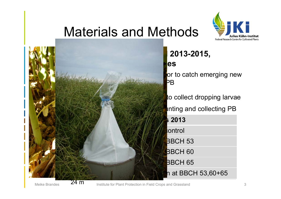### Materials and Methods



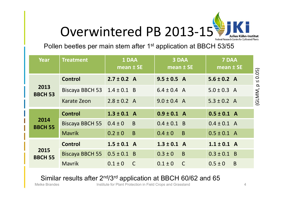

Pollen beetles per main stem after 1<sup>st</sup> application at BBCH 53/55

|  | Year                   | <b>Treatment</b>                  | 1 DAA<br>mean $±$ SE          | 3 DAA<br>mean $±$ SE          | 7 DAA<br>$\overline{m}$ ean ± SE |                       |
|--|------------------------|-----------------------------------|-------------------------------|-------------------------------|----------------------------------|-----------------------|
|  | 2013<br><b>BBCH 53</b> | <b>Control</b>                    | $2.7 \pm 0.2$ A               | $9.5 \pm 0.5$ A               | $5.6 \pm 0.2$ A                  |                       |
|  |                        | Biscaya BBCH 53   $1.4 \pm 0.1$ B |                               | $6.4 \pm 0.4$ A               | $5.0 \pm 0.3$ A                  | $(GLMM, p \leq 0.05)$ |
|  |                        | Karate Zeon                       | $2.8 \pm 0.2$ A               | $9.0 \pm 0.4$ A               | $5.3 \pm 0.2$ A                  |                       |
|  | 2014<br><b>BBCH 55</b> | <b>Control</b>                    | $1.3 \pm 0.1$ A               | $0.9 \pm 0.1$ A               | $0.5 \pm 0.1$ A                  |                       |
|  |                        | Biscaya BBCH 55 $0.4 \pm 0$       | $\overline{B}$                | $0.4 \pm 0.1$ B               | $0.4 \pm 0.1$ A                  |                       |
|  |                        | <b>Mavrik</b>                     | B<br>$0.2 \pm 0$              | B<br>$0.4 \pm 0$              | $0.5 \pm 0.1$ A                  |                       |
|  | 2015<br><b>BBCH 55</b> | <b>Control</b>                    | $1.5 \pm 0.1$ A               | $1.3 \pm 0.1$ A               | $1.1 \pm 0.1$ A                  |                       |
|  |                        | Biscaya BBCH 55 $0.5 \pm 0.1$ B   |                               | B<br>$0.3 \pm 0$              | $0.3 \pm 0.1$ B                  |                       |
|  |                        | <b>Mavrik</b>                     | $0.1 \pm 0$<br>$\overline{C}$ | $\overline{C}$<br>$0.1 \pm 0$ | $\overline{B}$<br>$0.5 \pm 0$    |                       |

#### Similar results after 2<sup>nd</sup>/3<sup>rd</sup> application at BBCH 60/62 and 65

Meike Brandes **Institute for Plant Protection in Field Crops and Grassland** 4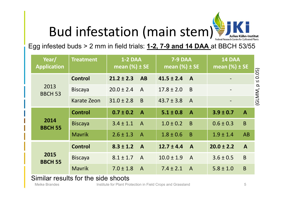# Bud infestation (main stem)

Egg infested buds > 2 mm in field trials: **1-2, 7-9 and 14 DAA** at BBCH 53/55

|                    | <b>1-2 DAA</b><br>mean $(\%)$ ± SE |                | <b>7-9 DAA</b><br>mean $(\%)$ ± SE |                | 14 DAA<br>mean $(\%)$ ± SE |                       |
|--------------------|------------------------------------|----------------|------------------------------------|----------------|----------------------------|-----------------------|
| <b>Control</b>     | $21.2 \pm 2.3$                     | <b>AB</b>      | $41.5 \pm 2.4$                     | $\mathbf{A}$   |                            | $(GLMM, p \leq 0.05)$ |
| <b>Biscaya</b>     | $20.0 \pm 2.4$                     | $\mathsf{A}$   | $17.8 \pm 2.0$                     | B              |                            |                       |
| <b>Karate Zeon</b> | $31.0 \pm 2.8$                     | B              | $43.7 \pm 3.8$                     | $\overline{A}$ |                            |                       |
| <b>Control</b>     | $0.7 \pm 0.2$                      | $\overline{A}$ | $5.1 \pm 0.8$                      | $\mathbf{A}$   | $3.9 \pm 0.7$              | $\mathbf{A}$          |
| <b>Biscaya</b>     | $3.4 \pm 1.1$                      | $\overline{A}$ | $1.0 \pm 0.2$                      | B              | $0.6 \pm 0.3$              | B                     |
| <b>Mavrik</b>      | $2.6 \pm 1.3$                      | $\overline{A}$ | $1.8 \pm 0.6$                      | B              | $1.9 \pm 1.4$              | AB                    |
| <b>Control</b>     | $8.3 \pm 1.2$                      | $\mathbf{A}$   | $12.7 \pm 4.4$                     | $\mathbf{A}$   | $20.0 \pm 2.2$             | $\mathbf{A}$          |
| <b>Biscaya</b>     | $8.1 \pm 1.7$                      | $\overline{A}$ | $10.0 \pm 1.9$                     | $\overline{A}$ | $3.6 \pm 0.5$              | B                     |
| <b>Mavrik</b>      | $7.0 \pm 1.8$                      | $\mathsf{A}$   | $7.4 \pm 2.1$                      |                | $5.8 \pm 1.0$              | $\mathsf{B}$          |
|                    |                                    |                |                                    |                | $\overline{A}$             |                       |

Similar results for the side shoots

Meike Brandes **Institute for Plant Protection in Field Crops and Grassland** 5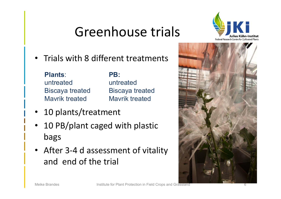# Greenhouse trials



•Trials with 8 different treatments

### **Plants**:

untreatedBiscaya treated Mavrik treated

### **PB:**

untreatedBiscaya treated Mavrik treated

- •10 plants/treatment
- 10 PB/plant caged with plastic bags
- After 3-4 d assessment of vitality and end of the trial

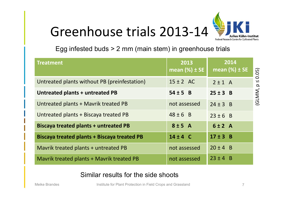# Greenhouse trials 2013‐14



Egg infested buds > 2 mm (main stem) in greenhouse trials

| <b>Treatment</b>                                   | 2013<br>mean $(\%)$ ± SE | 2014<br>mean $(\%) \pm SE$ | 0.05)                               |
|----------------------------------------------------|--------------------------|----------------------------|-------------------------------------|
| Untreated plants without PB (preinfestation)       | $15 \pm 2$ AC            | $2 \pm 1$ A                | $\overline{\mathsf{V}}$<br>$\Omega$ |
| Untreated plants + untreated PB                    | $54 \pm 5$ B             | $25 \pm 3$ B               | (GLMM,                              |
| Untreated plants + Mavrik treated PB               | not assessed             | $24 \pm 3$ B               |                                     |
| Untreated plants + Biscaya treated PB              | $48 \pm 6$ B             | $23 \pm 6$ B               |                                     |
| <b>Biscaya treated plants + untreated PB</b>       | 8±5A                     | 6±2A                       |                                     |
| <b>Biscaya treated plants + Biscaya treated PB</b> | $14 \pm 4$ C             | $17 \pm 3$ B               |                                     |
| Mavrik treated plants + untreated PB               | not assessed             | $20 \pm 4$ B               |                                     |
| Mavrik treated plants + Mavrik treated PB          | not assessed             | $23 \pm 4$ B               |                                     |

Similar results for the side shoots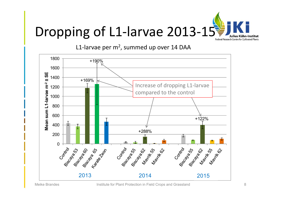

L1-larvae per m<sup>2</sup>, summed up over 14 DAA

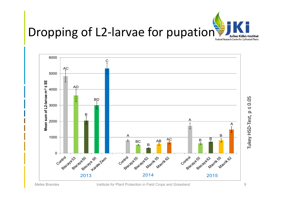



Tukey HSD‐Test, p ≤ 0.05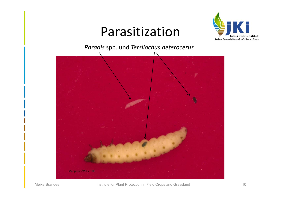### Parasitization



*Phradis* spp. und *Tersilochus heterocerus*

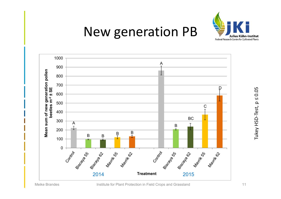

## New generation PB



Tukey HSD-Test, p ≤ 0.05 Tukey HSD‐Test, p ≤ 0.05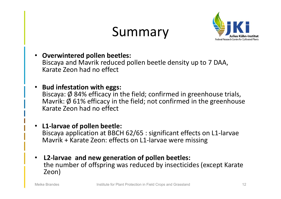# Summary



• **Overwintered pollen beetles:** 

Biscaya and Mavrik reduced pollen beetle density up to 7 DAA, Karate Zeon had no effect

•**Bud infestation with eggs:** 

Biscaya: Ø 84% efficacy in the field; confirmed in greenhouse trials, Mavrik: Ø 61% efficacy in the field; not confirmed in the greenhouse Karate Zeon had no effect

- **L1‐larvae of pollen beetle:**  Biscaya application at BBCH 62/65 : significant effects on L1‐larvae Mavrik + Karate Zeon: effects on L1‐larvae were missing
- **L2‐larvae and new generation of pollen beetles:** the number of offspring was reduced by insecticides (except Karate Zeon)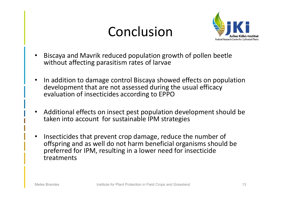# Conclusion



- • Biscaya and Mavrik reduced population growth of pollen beetle without affecting parasitism rates of larvae
- • In addition to damage control Biscaya showed effects on population development that are not assessed during the usual efficacy evaluation of insecticides according to EPPO
- $\bullet$  Additional effects on insect pest population development should be taken into account for sustainable IPM strategies
- $\bullet$  Insecticides that prevent crop damage, reduce the number of offspring and as well do not harm beneficial organisms should be preferred for IPM, resulting in a lower need for insecticide treatments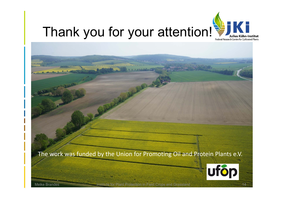

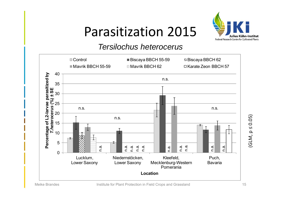# Parasitization 2015



#### *Tersilochus heterocerus*



(GLM, p ≤ 0.05)